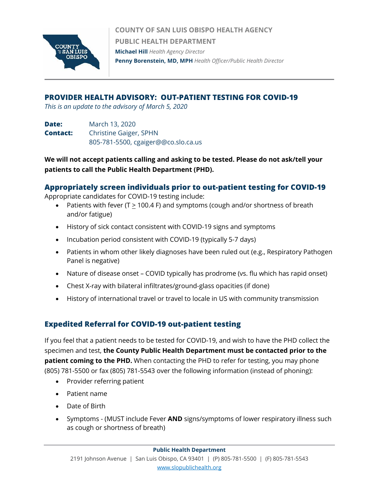

**COUNTY OF SAN LUIS OBISPO HEALTH AGENCY PUBLIC HEALTH DEPARTMENT Michael Hill** *Health Agency Director* **Penny Borenstein, MD, MPH** *Health Officer/Public Health Director*

## **PROVIDER HEALTH ADVISORY: OUT-PATIENT TESTING FOR COVID-19**

*This is an update to the advisory of March 5, 2020*

**Date:** March 13, 2020 **Contact:** Christine Gaiger, SPHN 805-781-5500, cgaiger@@co.slo.ca.us

**We will not accept patients calling and asking to be tested. Please do not ask/tell your patients to call the Public Health Department (PHD).**

### **Appropriately screen individuals prior to out-patient testing for COVID-19**

Appropriate candidates for COVID-19 testing include:

- Patients with fever (T  $\geq$  100.4 F) and symptoms (cough and/or shortness of breath and/or fatigue)
- History of sick contact consistent with COVID-19 signs and symptoms
- Incubation period consistent with COVID-19 (typically 5-7 days)
- Patients in whom other likely diagnoses have been ruled out (e.g., Respiratory Pathogen Panel is negative)
- Nature of disease onset COVID typically has prodrome (vs. flu which has rapid onset)
- Chest X-ray with bilateral infiltrates/ground-glass opacities (if done)
- History of international travel or travel to locale in US with community transmission

## **Expedited Referral for COVID-19 out-patient testing**

If you feel that a patient needs to be tested for COVID-19, and wish to have the PHD collect the specimen and test, **the County Public Health Department must be contacted prior to the patient coming to the PHD.** When contacting the PHD to refer for testing, you may phone (805) 781-5500 or fax (805) 781-5543 over the following information (instead of phoning):

- Provider referring patient
- Patient name
- Date of Birth
- Symptoms (MUST include Fever **AND** signs/symptoms of lower respiratory illness such as cough or shortness of breath)